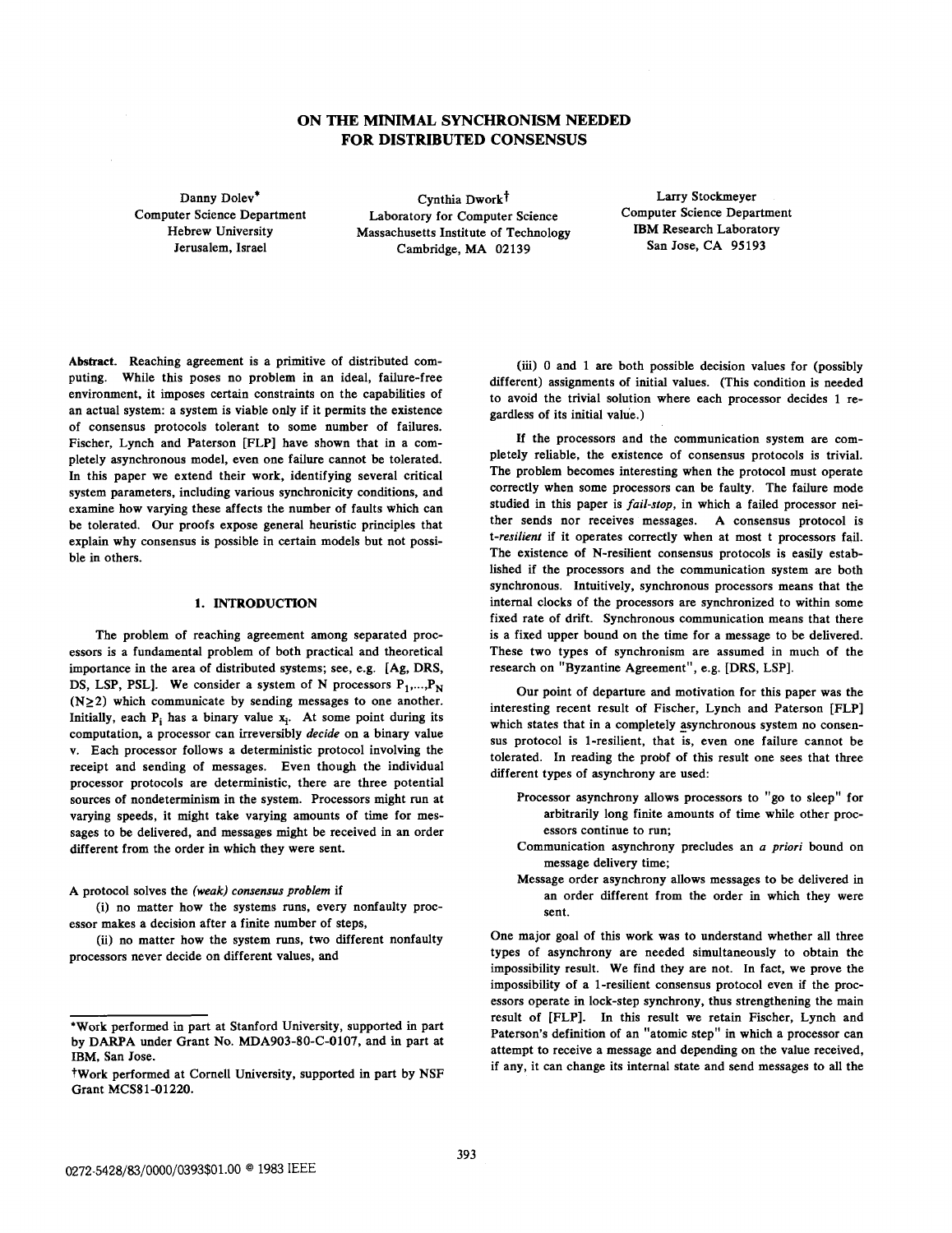# ON THE MINIMAL SYNCHRONISM NEEDED FOR DISTRIBUTED CONSENSUS

Danny Doley\* Computer Science Department Hebrew University Jerusalem, Israel

Cynthia Dwork<sup>†</sup> Laboratory for Computer Science Massachusetts Institute of Technology Cambridge, MA 02139

Larry Stockmeyer Computer Science Department IBM Research Laboratory San Jose, CA 95193

Abstract. Reaching agreement is a primitive of distributed computing. While this poses no problem in an ideal, failure-free environment, it imposes certain constraints on the capabilities of an actual system: a system is viable only if it permits the existence of consensus protocols tolerant to some number of failures. Fischer, Lynch and Paterson [FLP] have shown that in a completely asynchronous model, even one failure cannot be tolerated. In this paper we extend their work, identifying several critical system parameters, including various synchronicity conditions, and examine how varying these affects the number of faults which can be tolerated. Our proofs expose general heuristic principles that explain why consensus is possible in certain models but not possible in others.

#### 1. INTRODUCTION

The problem of reaching agreement among separated processors is a fundamental problem of both practical and theoretical importance in the area of distributed systems; see, e.g. [Ag, DRS, DS, LSP, PSL]. We consider a system of N processors  $P_1,...,P_N$  $(N \geq 2)$  which communicate by sending messages to one another. Initially, each  $P_i$  has a binary value  $x_i$ . At some point during its computation, a processor can irreversibly *decide* on a binary value v. Each processor follows a deterministic protocol involving the receipt and sending of messages. Even though the individual processor protocols are deterministic, there are three potential sources of nondeterminism in the system. Processors might run at varying speeds, it might take varying amounts of time for messages to be delivered, and messages might be received in an order different from the order in which they were sent.

A protocol solves the *(weak) consensus problem* if

(i) no matter how the systems runs, every nonfaulty processor makes a decision after a finite number of steps,

(ii) no matter how the system runs, two different nonfaulty processors never decide on different values, and

(iii) 0 and 1 are both possible decision values for (possibly different) assignments of initial values. (This condition is needed to avoid the trivial solution where each processor decides 1 regardless of its initial value.)

If the processors and the communication system are completely reliable, the existence of consensus protocols is trivial. The problem becomes interesting when the protocol must operate correctly when some processors can be faulty. The failure mode studied in this paper is *fail-stop,* in which a failed processor neither sends nor receives messages. A consensus protocol is *t-resilient* if it operates correctly when at most t processors fail. The existence of N-resilient consensus protocols is easily established if the processors and the communication system are both synchronous. Intuitively, synchronous processors means that the internal clocks of the processors are synchronized to within some fixed rate of drift. Synchronous communication means that there is a fixed upper bound on the time for a message to be delivered. These two types of synchronism are assumed in much of the research on "Byzantine Agreement", e.g. [DRS, LSP].

Our point of departure and motivation for this paper was the interesting recent result of Fischer, Lynch and Paterson [FLP] which states that in a completely asynchronous system no consensus protocol is I-resilient, that is, even one failure cannot be tolerated. In reading the proof of this result one sees that three different types of asynchrony are used:

- Processor asynchrony allows processors to "go to sleep" for arbitrarily long finite amounts of time while other processors continue to run;
- Communication asynchrony precludes an *a priori* bound on message delivery time;
- Message order asynchrony allows messages to be delivered in an order different from the order in which they were sent.

One major goal of this work was to understand whether all three types of asynchrony are needed simultaneously to obtain the impossibility result. We find they are not. In fact, we prove the impossibility of a I-resilient consensus protocol even if the processors operate in lock-step synchrony, thus strengthening the main result of [FLP]. In this result we retain Fischer, Lynch and Paterson's definition of an "atomic step" in which a processor can attempt to receive a message and depending on the value received, if any, it can change its internal state and send messages to all the

<sup>·</sup>Work performed in part at Stanford University, supported in part by DARPA under Grant No. MDA903-80-C-OI07, and in part at IBM, San Jose.

tWork performed at Cornell University, supported in part by NSF Grant MCS81-01220.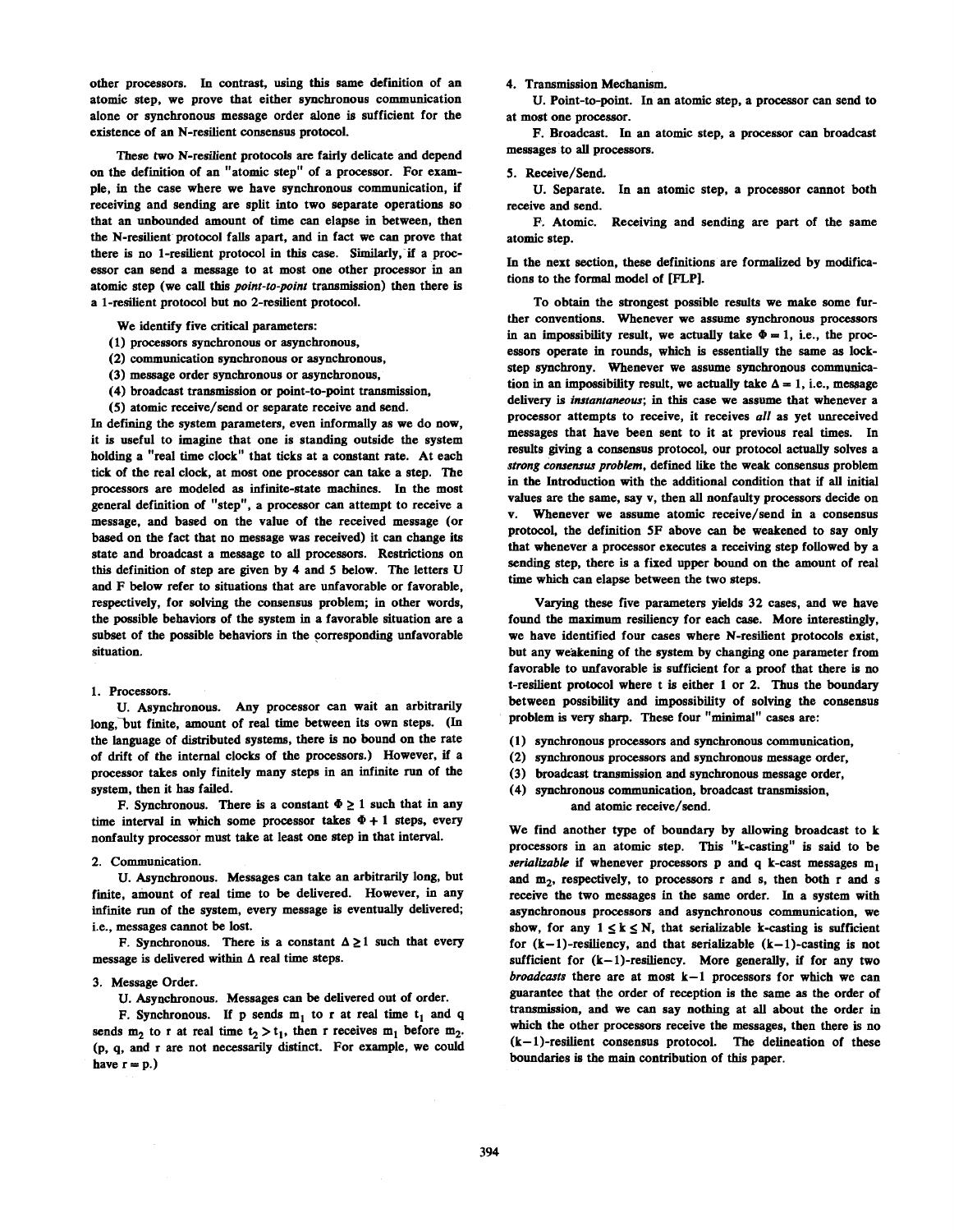other processors. In contrast, using this same definition of an atomic step, we prove that either synchronous communication alone or synchronous message order alone is sufficient for the existence of an N-resilient consensus protocol.

These two N-resilient protocols are fairly delicate and depend on the definition of an "atomic step" of a processor. For example, in the case where we have synchronous communication, if receiving and sending are split into two separate operations so that an unbounded amount of time can elapse in between, then the N-resilient protocol falls apart, and in fact we can prove that there is no 1-resilient protocol in this case. Similarly, if a processor can send a message to at most one other processor in an atomic step (we call this *point-to-point* transmission) then there is a I-resilient protocol but no 2-resilient protocol.

We identify five critical parameters:

- (1) processors synchronous or asynchronous,
- (2) communication synchronous or asynchronous,
- (3) message order synchronous or asynchronous,
- (4) broadcast transmission or point-to-point transmission,
- *(S)* atomic receive/send or separate receive and send.

In defining the system parameters, even informally as we do now, it is useful to imagine that one is standing outside the system holding a "real time clock" that ticks at a constant rate. At each tick of the real clock, at most one processor can take a step. The processors are modeled as infinite-state machines. In the most general definition of "step", a processor can attempt to receive a message, and based on the value of the received message (or based on the fact that no message was received) it can change its state and broadcast a message to all processors. Restrictions on this definition of step are given by 4 and *S* below. The letters U and F below refer to situations that are unfavorable or favorable, respectively, for solving the consensus problem; in other words, the possible behaviors of the system in a favorable situation are a subset of the possible behaviors in the corresponding unfavorable situation.

## 1. Processors.

U. Asynchronous. Any processor can wait an arbitrarily long, but finite, amount of real time between its own steps. (In the language of distributed systems, there is no bound on the rate of drift of the internal clocks of the processors.) However, if a processor takes only finitely many steps in an infinite run of the system, then it has failed.

F. Synchronous. There is a constant  $\Phi \ge 1$  such that in any time interval in which some processor takes  $\Phi + 1$  steps, every nontaulty processor must take at least one step in that interval.

#### 2. Communication.

U. Asynchronous. Messages can take an arbitrarily long, but finite, amount of real time to be delivered. However, in any infinite run of the system, every message is eventually delivered; i.e., messages cannot be lost.

F. Synchronous. There is a constant  $\Delta \ge 1$  such that every message is delivered within  $\Delta$  real time steps.

## 3. Message Order.

U. Asynchronous. Messages can be delivered out of order.

F. Synchronous. If p sends  $m_1$  to r at real time t<sub>1</sub> and q sends m<sub>2</sub> to r at real time  $t_2 > t_1$ , then r receives m<sub>1</sub> before m<sub>2</sub>. (p, q, and r are not necessarily distinct. For example, we could have  $r = p$ .)

4. Transmission Mechanism.

U. Point-to-point. In an atomic step, a processor can send to at most one processor.

F. Broadcast. In an atomic step, a processor can broadcast messages to all processors.

#### *S.* Receive/Send.

U. Separate. In an atomic step, a processor cannot both receive and send.

F. Atomic. Receiving and sending are part of the same atomic step.

In the next section, these definitions are formalized by modifications to the formal model of [FLP].

To obtain the strongest possible results we make some further conventions. Whenever we assume synchronous processors in an impossibility result, we actually take  $\Phi = 1$ , i.e., the processors operate in rounds, which is essentially the same as lockstep synchrony. Whenever we assume synchronous communication in an impossibility result, we actually take  $\Delta = 1$ , i.e., message delivery is *instantaneous;* in this case we assume that whenever a processor attempts to receive, it receives *all* as yet unreceived messages that have been sent to it at previous real times. In results giving a consensus protocol, our protocol actually solves a *strong consensus problem,* defined like the weak consensus problem in the Introduction with the additional condition that if all initial values are the same, say v, then all nontaulty processors decide on v. Whenever we assume atomic receive/send in a consensus protocol, the definition *SF* above can be weakened to say only that whenever a processor executes a receiving step followed by a sending step, there is a fixed upper bound on the amount of real time which can elapse between the two steps.

Varying these five parameters yields 32 cases, and we have found the maximum resiliency for each case. More interestingly, we have identified four cases where N-resilient protocols exist, but any weakening of the system by changing one parameter from favorable to unfavorable is sufficient for a proof that there is no t-resilient protocol where t is either 1 or 2. Thus the boundary between possibility and impossibility of solving the consensus problem is very sharp. These four "minimal" cases are:

- (1) synchronous processors and synchronous communication,
- (2) synchronous processors and synchronous message order,
- (3) broadcast transmission and synchronous message order,
- (4) synchronous communication, broadcast transmission, and atomic receive/send.

We find another type of boundary by allowing broadcast to k processors in an atomic step. This "k-casting" is said to be  $serializable$  if whenever processors  $p$  and  $q$  k-cast messages  $m_1$ and  $m_2$ , respectively, to processors r and s, then both r and s receive the two messages in the same order. In a system with asynchronous processors and asynchronous communication, we show, for any  $1 \le k \le N$ , that serializable k-casting is sufficient for  $(k-1)$ -resiliency, and that serializable  $(k-1)$ -casting is not sufficient for  $(k-1)$ -resiliency. More generally, if for any two *broadcasts* there are at most k-1 processors for which we can guarantee that the order of reception is the same as the order of transmission, and we can say nothing at all about the order in which the other processors receive the messages, then there is no  $(k-1)$ -resilient consensus protocol. The delineation of these boundaries is the main contribution of this paper.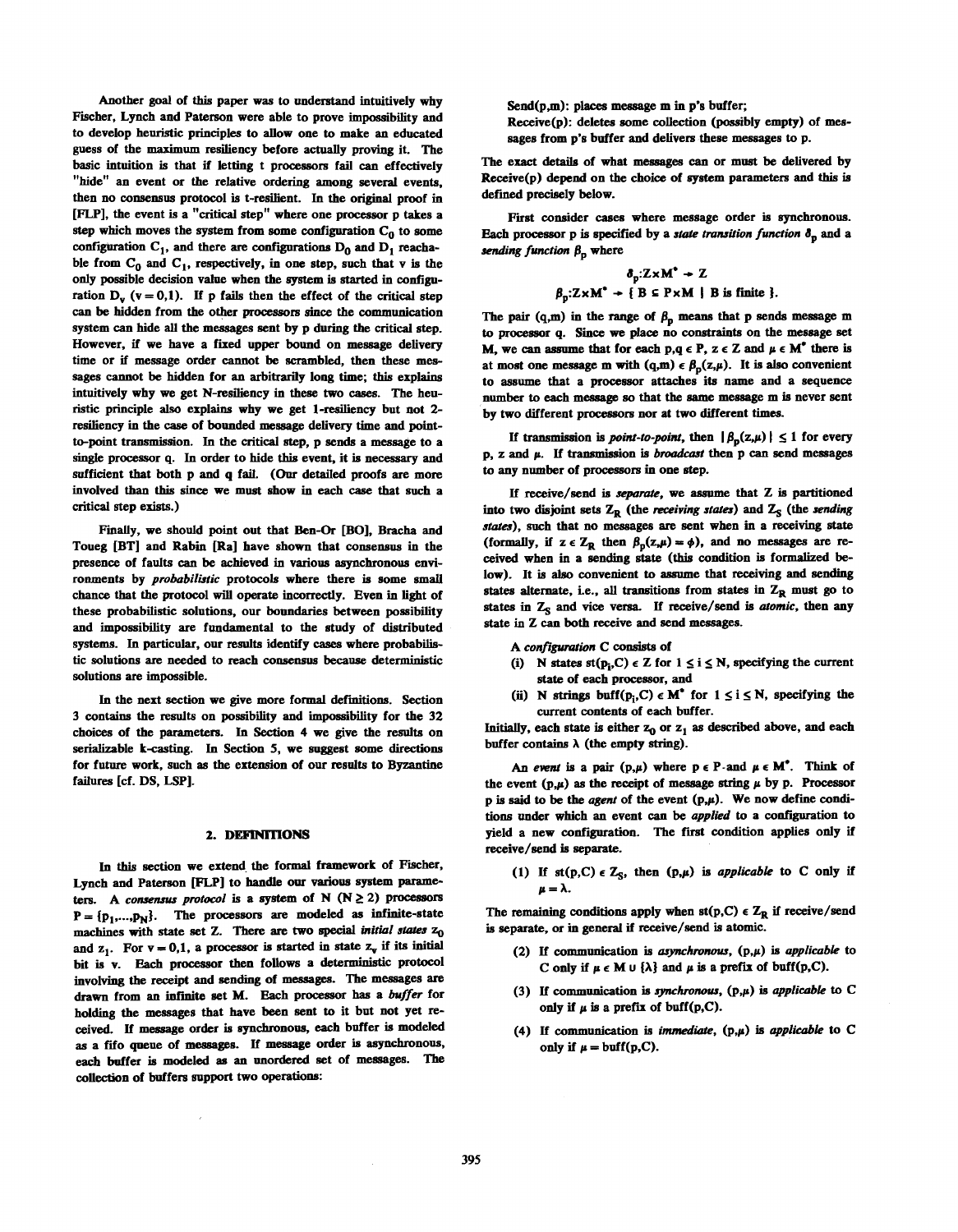Another goal of this paper was to understand intuitively why Fischer, Lynch and Paterson were able to prove impossibility and to develop heuristic principles to allow one to make an educated guess of the maximum resiliency before actually proving it. The basic intuition is that if letting t processors fail can effectively "hide" an event or the relative ordering among several events, then no consensus protocol is t-resilient. In the original proof in [FLP], the event is a "critical step" where one processor p takes a step which moves the system from some configuration  $C_0$  to some configuration  $C_1$ , and there are configurations  $D_0$  and  $D_1$  reachable from  $C_0$  and  $C_1$ , respectively, in one step, such that v is the only possible decision value when the system is started in configuration  $D_v$  (v = 0,1). If p fails then the effect of the critical step can be hidden from the other processors since the communication system can hide all the messages sent by p during the critical step. However, if we have a fixed upper bound on message delivery time or if message order cannot be scrambled, then these messages cannot be hidden for an arbitrarily long time; this explains intuitively why we get N-resiliency in these two cases. The heuristic principle also explains why we get I-resiliency but not 2 resiliency in the case of bounded message delivery time and pointto-point transmission. In the critical step, p sends a message to a single processor q. In order to hide this event, it is necessary and sufficient that both p and q fail. (Our detailed proofs are more involved than this since we must show in each case that such a critical step exists.)

Finally, we should point out that Ben-Or [BO], Bracha and Toueg [BT] and Rabin [Ra] have shown that consensus in the presence of faults can be achieved in various asynchronous environments by *probabilistic* protocols where there is some small chance that the protocol will operate incorrectly. Even in light of these probabilistic solutions, our boundaries between possibility and impossibility are fundamental to the study of distributed systems. In particular, our results identify cases where probabilistic solutions are needed to reach consensus because deterministic solutions are impossible.

In the next section we give more formal definitions. Section 3 contains the results on possibility and impossibility for the 32 choices of the parameters. In Section 4 we give the results on serializable k-casting. In Section 5, we suggest some directions for future work, such as the extension of our results to Byzantine failures [cf. DS, LSP].

#### 1. DEFINITIONS

In this section we extend the formal framework of Fischer, Lynch and Paterson [FLP] to handle our various system parameters. A *consensus protocol* is a system of  $N (N \ge 2)$  processors  $P = \{p_1,...,p_N\}$ . The processors are modeled as infinite-state machines with state set Z. There are two special *initial states*  $z_0$ and  $z_1$ . For  $v = 0,1$ , a processor is started in state  $z_v$  if its initial bit is v. Each processor then follows a deterministic protocol involving the receipt and sending of messages. The messages are drawn from an infinite set M. Each processor has a *buffer* for holding the messages that have been sent to it but not yet received. H message order is synchronous, each buffer is modeled as a fifo queue of messages. If message order is asynchronous, each buffer is modeled as an unordered set of messages. The collection of buffers support two operations:

Send(p,m): places message m in p's buffer; Receive(p): deletes some collection (possibly empty) of messages from p's buffer and delivers these messages to p.

The exact details of what messages can or must be delivered by Receive(p) depend on the choice of system parameters and this is defined precisely below.

First consider cases where message order is synchronous. Each processor p is specified by a *state transition function*  $\delta_{p}$  and a *sending function*  $\beta_n$  where

$$
\delta_{\mathbf{p}}: \mathbf{Z} \times \mathbf{M}^* \to \mathbf{Z}
$$
  

$$
\beta_{\mathbf{p}}: \mathbf{Z} \times \mathbf{M}^* \to \{ \mathbf{B} \in \mathbf{P} \times \mathbf{M} \mid \mathbf{B} \text{ is finite } \}.
$$

The pair (q,m) in the range of  $\beta_p$  means that p sends message m to processor q. Since we place no constraints on the message set M, we can assume that for each p,q  $\epsilon$  P,  $z \epsilon$  Z and  $\mu \epsilon$  M<sup>\*</sup> there is at most one message m with  $(q,m) \in \beta_p(z,\mu)$ . It is also convenient to assume that a processor attaches its name and a sequence number to each message so that the same message m is never sent by two different processors nor at two different times.

If transmission is *point-to-point*, then  $|\beta_{p}(z,\mu)| \leq 1$  for every  $p$ , z and  $\mu$ . If transmission is *broadcast* then  $p$  can send messages to any number of processors in one step.

H receive/send is *separate,* we assume that Z is partitioned into two disjoint sets Z<sub>R</sub> (the *receiving states*) and Z<sub>S</sub> (the *sending states),* such that no messages are sent when in a receiving state (formally, if  $z \in Z_R$  then  $\beta_n(z,\mu) = \phi$ ), and no messages are received when in a sending state (this condition is formalized below). It is also convenient to assume that receiving and sending states alternate, i.e., all transitions from states in  $Z_R$  must go to states in  $Z_s$  and vice versa. If receive/send is *atomic*, then any state in Z can both receive and send messages.

A *configuration* C consists of

- (i) N states st( $p_i$ , C)  $\in Z$  for  $1 \le i \le N$ , specifying the current state of each processor, and
- (ii) N strings buff( $p_i$ ,C)  $\in M^*$  for  $1 \le i \le N$ , specifying the current contents of each buffer.

Initially, each state is either  $z_0$  or  $z_1$  as described above, and each buffer contains  $\lambda$  (the empty string).

An event is a pair  $(p,\mu)$  where  $p \in P$  and  $\mu \in M^*$ . Think of the event  $(p,\mu)$  as the receipt of message string  $\mu$  by p. Processor  $p$  is said to be the *agent* of the event  $(p,\mu)$ . We now define conditions under which an event can be *applied* to a configuration to yield a new configuration. The first condition applies only if receive/send is separate.

(1) If  $st(p, C) \in Z_S$ , then  $(p, \mu)$  is *applicable* to C only if  $\mu = \lambda$ .

The remaining conditions apply when st(p,C)  $\epsilon$  Z<sub>R</sub> if receive/send is separate, or in general if receive/send is atomic.

- (2) If communication is *asynchronous*,  $(p,\mu)$  is *applicable* to C only if  $\mu \in M$  u  $\{\lambda\}$  and  $\mu$  is a prefix of buff(p,C).
- (3) If communication is *synchronous*,  $(p,\mu)$  is *applicable* to C only if  $\mu$  is a prefix of buff(p,C).
- (4) If communication is *immediate*,  $(p,\mu)$  is *applicable* to C only if  $\mu = \text{buff}(p,C)$ .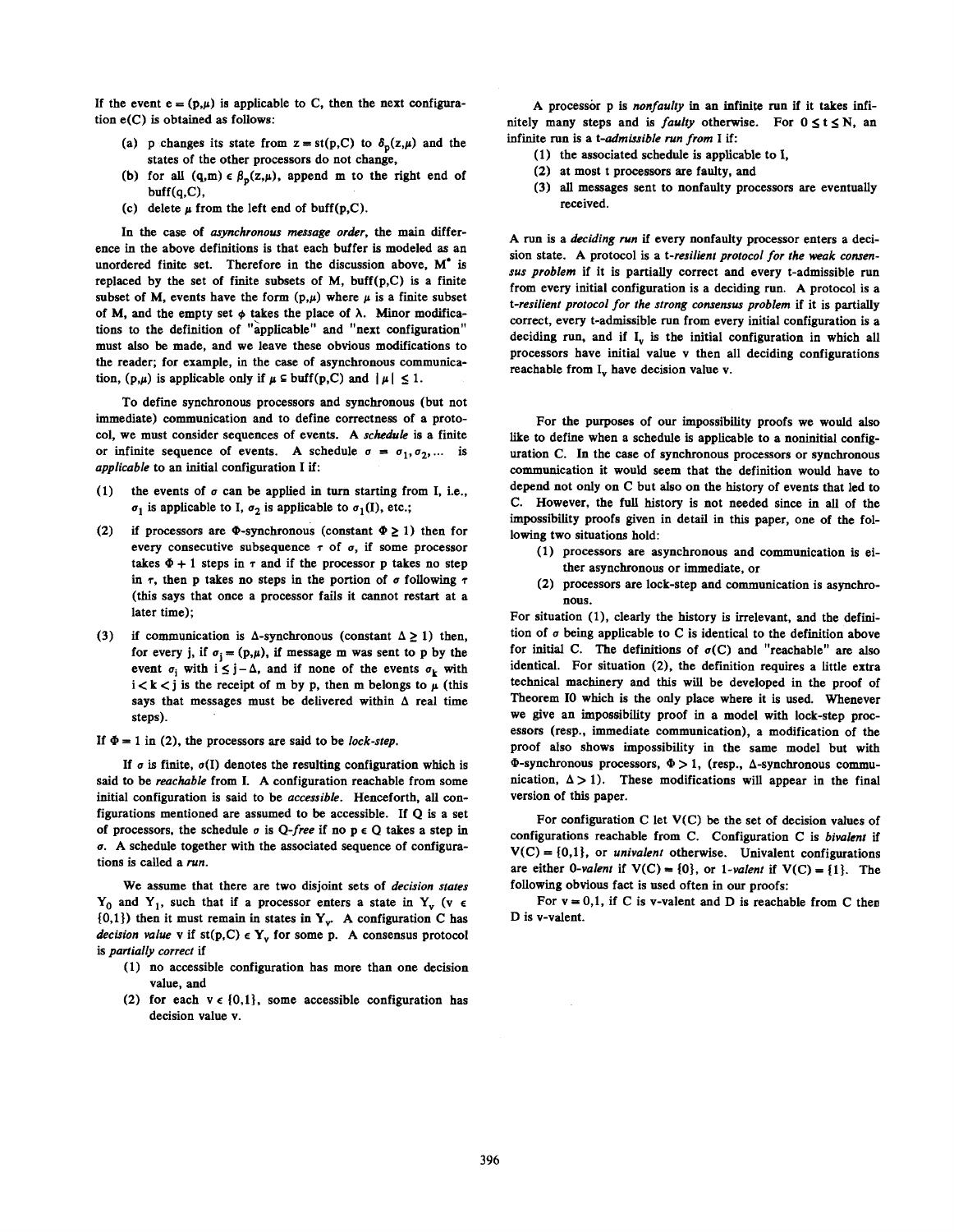If the event  $e = (p,\mu)$  is applicable to C, then the next configuration e(C) is obtained as follows:

- (a) p changes its state from  $z = st(p, C)$  to  $\delta_p(z, \mu)$  and the states of the other processors do not change,
- (b) for all  $(q,m) \in \beta_n(z,\mu)$ , append m to the right end of  $\text{buff}(a,C)$ .
- (c) delete  $\mu$  from the left end of buff $(p, C)$ .

In the case of *asynchronous message order,* the main difference in the above definitions is that each buffer is modeled as an unordered finite set. Therefore in the discussion above, M\* is replaced by the set of finite subsets of  $M$ , buff $(p, C)$  is a finite subset of M, events have the form  $(p,\mu)$  where  $\mu$  is a finite subset of M, and the empty set  $\phi$  takes the place of  $\lambda$ . Minor modifications to the definition of "applicable" and "next configuration" must also be made, and we leave these obvious modifications to the reader; for example, in the case of asynchronous communication,  $(p,\mu)$  is applicable only if  $\mu \subseteq \text{buff}(p,C)$  and  $|\mu| \leq 1$ .

To define synchronous processors and synchronous (but not immediate) communication and to define correctness of a protocol, we must consider sequences of events. A *schedule* is a finite or infinite sequence of events. A schedule  $\sigma = \sigma_1, \sigma_2, ...$  is *applicable* to an initial configuration I if:

- (1) the events of  $\sigma$  can be applied in turn starting from I, i.e.,  $\sigma_1$  is applicable to I,  $\sigma_2$  is applicable to  $\sigma_1(I)$ , etc.;
- (2) if processors are  $\Phi$ -synchronous (constant  $\Phi \ge 1$ ) then for every consecutive subsequence  $\tau$  of  $\sigma$ , if some processor takes  $\Phi + 1$  steps in  $\tau$  and if the processor p takes no step in  $\tau$ , then p takes no steps in the portion of  $\sigma$  following  $\tau$ (this says that once a processor fails it cannot restart at a later time);
- (3) if communication is  $\Delta$ -synchronous (constant  $\Delta \ge 1$ ) then, for every j, if  $\sigma_i = (p,\mu)$ , if message m was sent to p by the event  $\sigma_i$  with  $i \leq j - \Delta$ , and if none of the events  $\sigma_k$  with  $i < k < j$  is the receipt of m by p, then m belongs to  $\mu$  (this says that messages must be delivered within  $\Delta$  real time steps).
- If  $\Phi = 1$  in (2), the processors are said to be *lock-step*.

If  $\sigma$  is finite,  $\sigma(I)$  denotes the resulting configuration which is said to be *reachable* from I. A configuration reachable from some initial configuration is said to be *accessible.* Henceforth, all configurations mentioned are assumed to be accessible. If Q is a set of processors, the schedule  $\sigma$  is Q-free if no  $p \in Q$  takes a step in *a.* A schedule together with the associated sequence of configurations is called a *run.*

We assume that there are two disjoint sets of *decision states*  $Y_0$  and  $Y_1$ , such that if a processor enters a state in  $Y_v$  (v  $\epsilon$  ${0,1}$ ) then it must remain in states in Y<sub>v</sub>. A configuration C has *decision value* v if  $st(p, C) \in Y_v$  for some p. A consensus protocol is *partially correct* if

- (1) no accessible configuration has more than one decision value, and
- (2) for each  $v \in \{0,1\}$ , some accessible configuration has decision value v.

A processor p is *nonfaulty* in an infinite run if it takes infinitely many steps and is *faulty* otherwise. For  $0 \le t \le N$ , an infinite run is a *t-admissible run from* I if:

- (1) the associated schedule is applicable to I,
- (2) at most t processors are faulty, and
- (3) all messages sent to nonfaulty processors are eventually received.

A run is a *deciding run* if every nonfaulty processor enters a decision state. A protocol is a *t-resilient protocol for the weak consensus problem* if it is partially correct and every t-admissible run from every initial configuration is a deciding run. A protocol is a *t-resilient protocol for the strong consensus problem* if it is partially correct, every t-admissible run from every initial configuration is a deciding run, and if  $I_v$  is the initial configuration in which all processors have initial value v then all deciding configurations reachable from I<sub>v</sub> have decision value v.

For the purposes of our impossibility proofs we would also like to define when a schedule is applicable to a noninitial configuration C. In the case of synchronous processors or synchronous communication it would seem that the definition would have to depend not only on C but also on the history of events that led to C. However, the full history is not needed since in all of the impossibility proofs given in detail in this paper, one of the following two situations hold:

- (1) processors are asynchronous and communication is ei ther asynchronous or immediate, or
- (2) processors are lock-step and communication is asynchronous.

For situation (1), clearly the history is irrelevant, and the definition of  $\sigma$  being applicable to C is identical to the definition above for initial C. The definitions of  $\sigma(C)$  and "reachable" are also identical. For situation (2), the definition requires a little extra technical machinery and this will be developed in the proof of Theorem 10 which is the only place where it is used. Whenever we give an impossibility proof in a model with lock-step processors (resp., immediate communication), a modification of the proof also shows impossibility in the same model but with  $\Phi$ -synchronous processors,  $\Phi > 1$ , (resp.,  $\Delta$ -synchronous communication,  $\Delta > 1$ ). These modifications will appear in the final version of this paper.

For configuration C let V(C) be the set of decision values of configurations reachable from C. Configuration C is *bivalent* if  $V(C) = \{0,1\}$ , or *univalent* otherwise. Univalent configurations are either 0-valent if  $V(C) = \{0\}$ , or 1-valent if  $V(C) = \{1\}$ . The following obvious fact is used often in our proofs:

For  $v = 0,1$ , if C is v-valent and D is reachable from C then D is v-valent.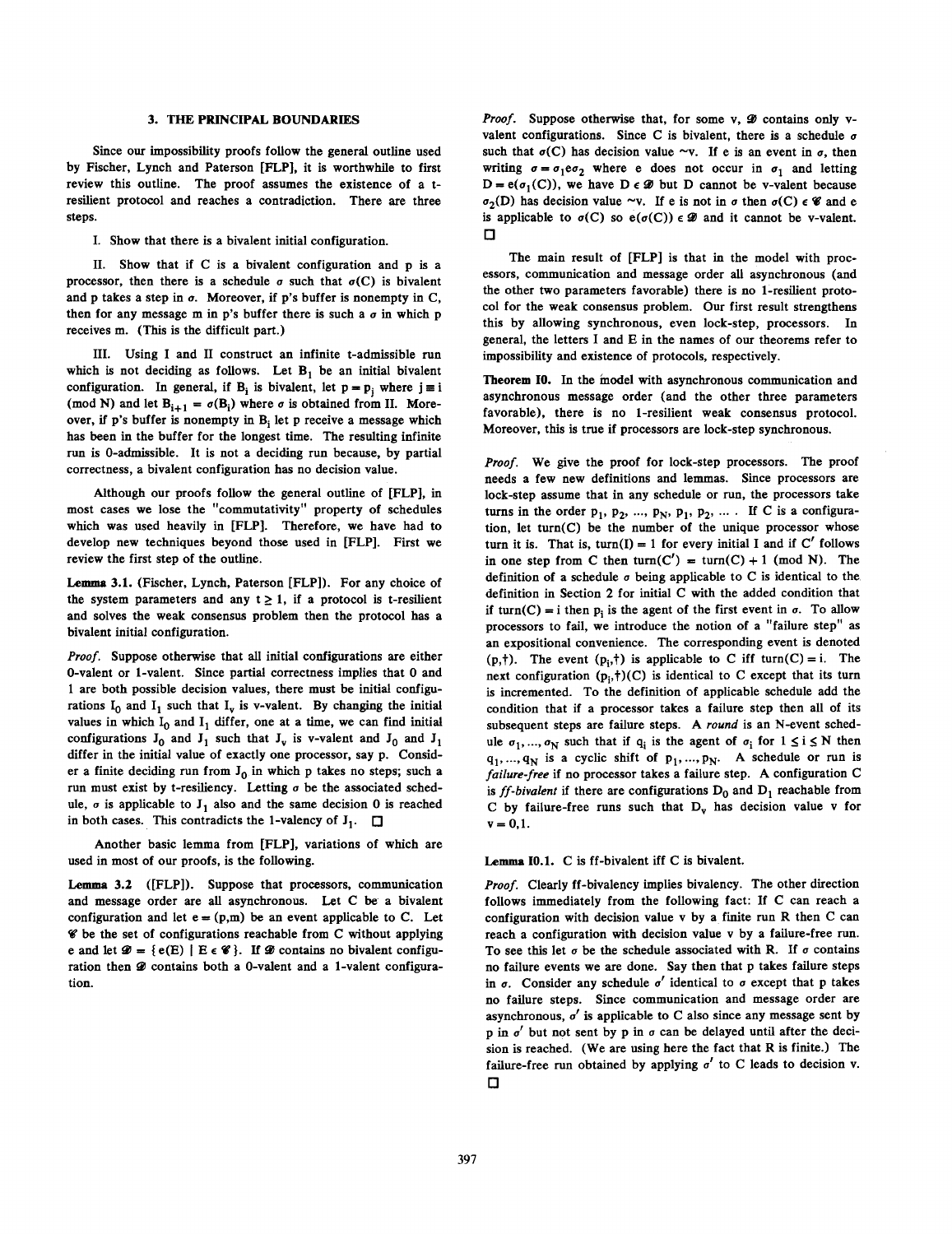## 3. THE PRINCIPAL BOUNDARIES

Since our impossibility proofs follow the general outline used by Fischer, Lynch and Paterson [FLP), it is worthwhile to first review this outline. The proof assumes the existence of a tresilient protocol and reaches a contradiction. There are three steps.

I. Show that there is a bivalent initial configuration.

II. Show that if C is a bivalent configuration and p is a processor, then there is a schedule  $\sigma$  such that  $\sigma(C)$  is bivalent and  $p$  takes a step in  $q$ . Moreover, if  $p$ 's buffer is nonempty in  $C$ , then for any message m in p's buffer there is such a  $\sigma$  in which p receives m. (This is the difficult part.)

III. Using I and II construct an infinite t-admissible run which is not deciding as follows. Let  $B_1$  be an initial bivalent configuration. In general, if B<sub>i</sub> is bivalent, let  $p = p_i$  where  $j \equiv i$ (mod N) and let  $B_{i+1} = \sigma(B_i)$  where  $\sigma$  is obtained from II. Moreover, if p's buffer is nonempty in  $B_i$  let p receive a message which has been in the buffer for the longest time. The resulting infinite run is O-admissible. It is not a deciding run because, by partial correctness, a bivalent configuration has no decision value.

Although our proofs follow the general outline of [FLP], in most cases we lose the "commutativity" property of schedules which was used heavily in [FLP]. Therefore, we have had to develop new techniques beyond those used in [FLP]. First we review the first step of the outline.

Lemma 3.1. (Fischer, Lynch, Paterson [FLP]). For any choice of the system parameters and any  $t \geq 1$ , if a protocol is t-resilient and solves the weak consensus problem then the protocol has a bivalent initial configuration.

*Proof.* Suppose otherwise that all initial configurations are either O-valent or I-valent. Since partial correctness implies that 0 and 1 are both possible decision values, there must be initial configurations  $I_0$  and  $I_1$  such that  $I_v$  is v-valent. By changing the initial values in which  $I_0$  and  $I_1$  differ, one at a time, we can find initial configurations  $J_0$  and  $J_1$  such that  $J_v$  is v-valent and  $J_0$  and  $J_1$ differ in the initial value of exactly one processor, say p. Consider a finite deciding run from  $J_0$  in which p takes no steps; such a run must exist by t-resiliency. Letting *a* be the associated schedule,  $\sigma$  is applicable to  $J_1$  also and the same decision 0 is reached in both cases. This contradicts the 1-valency of  $J_1$ .  $\Box$ 

Another basic lemma from [FLP], variations of which are used in most of our proofs, is the following.

Lemma 3.2 ([FLP]). Suppose that processors, communication and message order are all asynchronous. Let C be' a bivalent configuration and let  $e = (p,m)$  be an event applicable to C. Let Wbe the set of configurations reachable from C without applying e and let  $\mathcal{D} = \{e(E) | E \in \mathcal{C}\}\$ . If  $\mathcal D$  contains no bivalent configuration then  $\mathcal D$  contains both a 0-valent and a 1-valent configuration.

*Proof.* Suppose otherwise that, for some v,  $\mathcal D$  contains only vvalent configurations. Since C is bivalent, there is a schedule  $\sigma$ such that  $\sigma(C)$  has decision value ~v. If e is an event in  $\sigma$ , then writing  $\sigma = \sigma_1 e \sigma_2$  where e does not occur in  $\sigma_1$  and letting  $D = e(\sigma_1(C))$ , we have  $D \in \mathcal{D}$  but D cannot be v-valent because  $\sigma_2(D)$  has decision value ~v. If e is not in  $\sigma$  then  $\sigma(C) \in \mathscr{C}$  and e is applicable to  $\sigma(C)$  so  $e(\sigma(C)) \in \mathcal{D}$  and it cannot be v-valent. o

The main result of [FLP] is that in the model with processors, communication and message order all asynchronous (and the other two parameters favorable) there is no 1-resilient protocol for the weak consensus problem. Our first result strengthens this by allowing synchronous, even lock-step, processors. In general, the letters I and E in the names of our theorems refer to impossibility and existence of protocols, respectively.

Theorem 10. In the model with asynchronous communication and asynchronous message order (and the other three parameters favorable), there is no I-resilient weak consensus protocol. Moreover, this is true if processors are lock-step synchronous.

*Proof.* We give the proof for lock-step processors. The proof needs a few new definitions and lemmas. Since processors are lock-step assume that in any schedule or run, the processors take turns in the order  $p_1$ ,  $p_2$ , ...,  $p_N$ ,  $p_1$ ,  $p_2$ , .... If C is a configuration, let turn(C) be the number of the unique processor whose turn it is. That is,  $turn(I) = 1$  for every initial I and if C' follows in one step from C then turn(C') = turn(C) + 1 (mod N). The definition of a schedule  $\sigma$  being applicable to C is identical to the. definition in Section 2 for initial C with the added condition that if turn(C) = i then  $p_i$  is the agent of the first event in  $\sigma$ . To allow processors to fail, we introduce the notion of a "failure step" as an expositional convenience. The corresponding event is denoted  $(p, t)$ . The event  $(p_i, t)$  is applicable to C iff turn(C) = i. The next configuration  $(p_i, \dagger)(C)$  is identical to C except that its turn is incremented. To the definition of applicable schedule add the condition that if a processor takes a failure step then all of its subsequent steps are failure steps. A *round* is an N-event schedule  $\sigma_1$ , ...,  $\sigma_N$  such that if  $q_i$  is the agent of  $\sigma_i$  for  $1 \le i \le N$  then  $q_1, ..., q_N$  is a cyclic shift of  $p_1, ..., p_N$ . A schedule or run is *failure-free* if no processor takes a failure step. A configuration C is *ff-bivalent* if there are configurations  $D_0$  and  $D_1$  reachable from C by failure-free runs such that  $D_v$  has decision value v for  $v=0,1.$ 

Lemma 10.1. C is ff-bivalent iff C is bivalent.

*Proof.* Clearly ff-bivalency implies bivalency. The other direction follows immediately from the following fact: If C can reach a configuration with decision value v by a. finite run R then C can reach a configuration with decision value v by a failure-free run. To see this let  $\sigma$  be the schedule associated with R. If  $\sigma$  contains no failure events we are done. Say then that p takes failure steps in  $\sigma$ . Consider any schedule  $\sigma'$  identical to  $\sigma$  except that p takes no failure steps. Since communication and message order are asynchronous,  $\sigma'$  is applicable to C also since any message sent by p in  $\sigma'$  but not sent by p in  $\sigma$  can be delayed until after the decision is reached. (We are using here the fact that R is finite.) The failure-free run obtained by applying  $\sigma'$  to C leads to decision v. o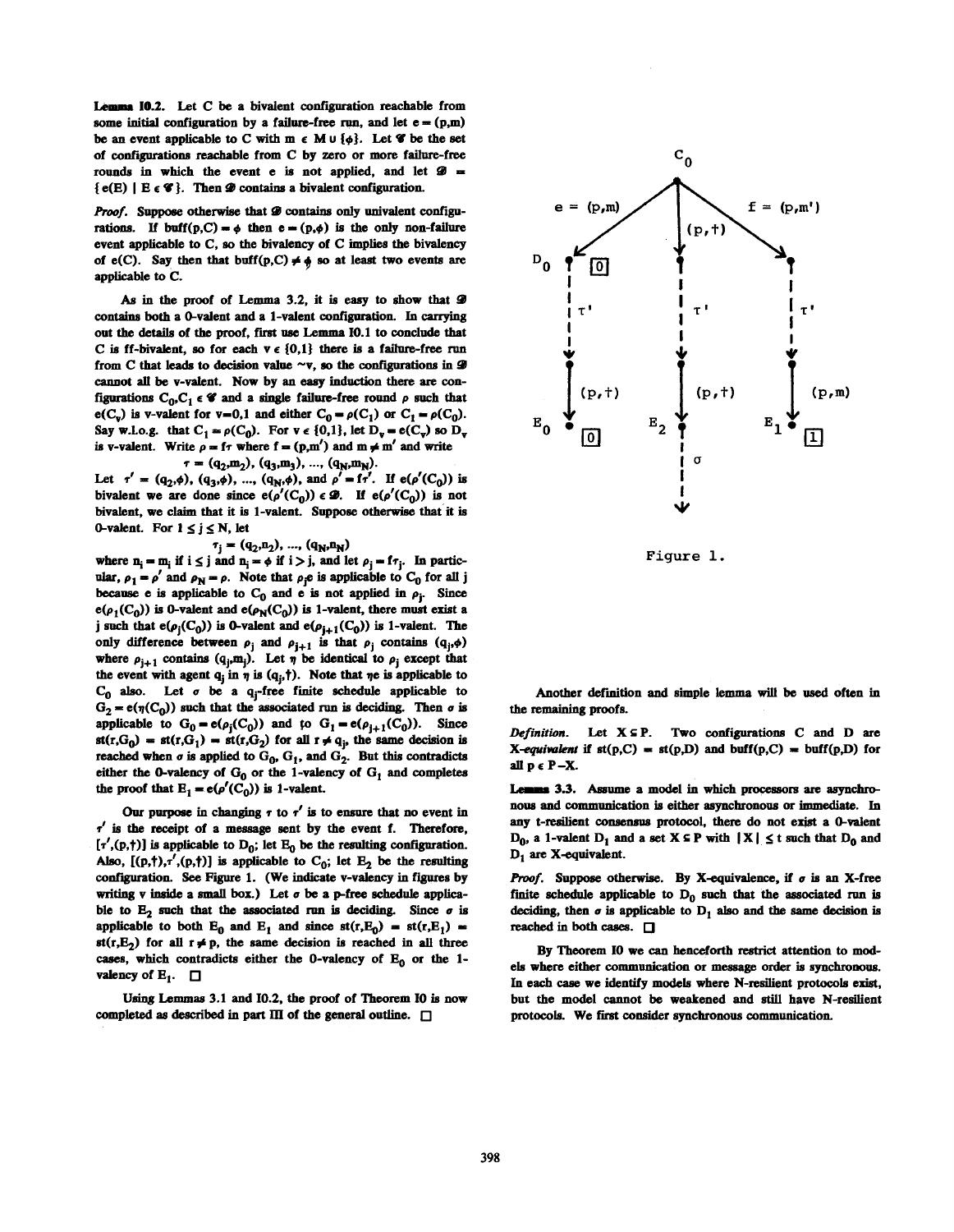Lemma I0.2. Let C be a bivalent configuration reachable from some initial configuration by a failure-free run, and let  $e = (p,m)$ be an event applicable to C with  $m \in M \cup \{\phi\}$ . Let  $\mathscr G$  be the set of configurations reachable from C by zero or more failure-free rounds in which the event e is not applied, and let  $\mathcal{D} =$  ${e(E) | E \in \mathscr{C}}$ . Then  $\mathscr{D}$  contains a bivalent configuration.

*Proof.* Suppose otherwise that  $\mathcal D$  contains only univalent configurations. If buff(p,C) =  $\phi$  then e = (p, $\phi$ ) is the only non-failure event applicable to C, so the bivalency of C implies the bivalency of e(C). Say then that buff(p,C)  $\neq$   $\phi$  so at least two events are applicable to C.

As in the proof of Lemma 3.2, it is easy to show that  $\mathcal D$ contains both a 0-valent and a 1-valent configuration. In carrying out the details of the proof, first use Lemma 10.1 to conclude that C is ff-bivalent, so for each  $v \in \{0,1\}$  there is a failure-free run from C that leads to decision value  $\sim v$ , so the configurations in  $\mathcal D$ cannot all be v-valent. Now by an easy induction there are configurations  $C_0, C_1 \in \mathscr{C}$  and a single failure-free round  $\rho$  such that  $e(C_v)$  is v-valent for v=0,1 and either  $C_0 = \rho(C_1)$  or  $C_1 = \rho(C_0)$ . Say w.l.o.g. that  $C_1 = \rho(C_0)$ . For  $v \in \{0,1\}$ , let  $D_v = e(C_v)$  so  $D_v$ is v-valent. Write  $\rho = \mathbf{f} \cdot \mathbf{w}$  where  $\mathbf{f} = (\mathbf{p}, \mathbf{m}')$  and  $\mathbf{m} \neq \mathbf{m}'$  and write  $\tau = (q_2,m_2), (q_3,m_3), ..., (q_N,m_N).$ 

Let  $\tau' = (q_2, \phi), (q_3, \phi), ..., (q_N, \phi),$  and  $\rho' = f\tau'$ . If  $e(\rho'(C_0))$  is bivalent we are done since  $e(\rho'(C_0)) \in \mathcal{D}$ . If  $e(\rho'(C_0))$  is not bivalent, we claim that it is 1-valent. Suppose otherwise that it is 0-valent. For  $1 \le j \le N$ , let

$$
\tau_{\mathbf{j}} = (q_2, n_2), ..., (q_N, n_N)
$$

where  $n_i = m_i$  if  $i \le j$  and  $n_i = \phi$  if  $i > j$ , and let  $\rho_i = f \tau_j$ . In particular,  $\rho_1 = \rho'$  and  $\rho_N = \rho$ . Note that  $\rho_i e$  is applicable to C<sub>0</sub> for all j because e is applicable to  $C_0$  and e is not applied in  $\rho_i$ . Since  $e(\rho_1(C_0))$  is 0-valent and  $e(\rho_N(C_0))$  is 1-valent, there must exist a j such that  $e(\rho_j(C_0))$  is 0-valent and  $e(\rho_{j+1}(C_0))$  is 1-valent. The only difference between  $\rho_j$  and  $\rho_{j+1}$  is that  $\rho_j$  contains  $(q_j, \phi)$ where  $\rho_{j+1}$  contains  $(q_j, m_j)$ . Let  $\eta$  be identical to  $\rho_j$  except that the event with agent  $q_j$  in  $\eta$  is  $(q_j, \dagger)$ . Note that  $\eta e$  is applicable to  $C_0$  also. Let  $\sigma$  be a q<sub>j</sub>-free finite schedule applicable to  $G_2 = e(\eta(C_0))$  such that the associated run is deciding. Then  $\sigma$  is applicable to  $G_0 = e(\rho_i(C_0))$  and to  $G_1 = e(\rho_{i+1}(C_0))$ . Since  $st(r,G_0) = st(r,G_1) = st(r,G_2)$  for all  $r \neq q_j$ , the same decision is reached when  $\sigma$  is applied to G<sub>0</sub>, G<sub>1</sub>, and G<sub>2</sub>. But this contradicts either the 0-valency of  $G_0$  or the 1-valency of  $G_1$  and completes the proof that  $E_1 = e(\rho'(C_0))$  is 1-valent.

Our purpose in changing  $\tau$  to  $\tau'$  is to ensure that no event in  $\tau'$  is the receipt of a message sent by the event f. Therefore,  $[\tau', (p, \dagger)]$  is applicable to D<sub>0</sub>; let E<sub>0</sub> be the resulting configuration. Also,  $[(p, \dagger), \dagger, (p, \dagger)]$  is applicable to  $C_0$ ; let  $E_2$  be the resulting configuration. See Figure I. (We indicate v-valency in figures by writing  $v$  inside a small box.) Let  $\sigma$  be a p-free schedule applicable to  $E_2$  such that the associated run is deciding. Since  $\sigma$  is applicable to both  $E_0$  and  $E_1$  and since  $st(r,E_0) = st(r,E_1) =$ st(r,E<sub>2</sub>) for all  $r \neq p$ , the same decision is reached in all three cases, which contradicts either the 0-valency of  $E_0$  or the 1valency of  $E_1$ .  $\Box$ 

Using Lemmas 3.1 and 10.2, the proof of Theorem 10 is now completed as described in part III of the general outline.  $\Box$ 



Figure 1.

Another definition and simple lemma will be used often in the remaining proofs.

*Definition.* Let  $X \subseteq P$ . Two configurations C and D are *X-equivalent* if  $st(p, C) = st(p, D)$  and  $buf(p, C) = buf(p, D)$  for all  $p \in P-X$ .

Let an 3.3. Assume a model in which processors are asynchronous and communication is either asynchronous or immediate. In any t-resilient consensus protocol, there do not exist a 0-valent  $D_0$ , a 1-valent  $D_1$  and a set  $X \subseteq P$  with  $|X| \le t$  such that  $D_0$  and D<sub>1</sub> are X-equivalent.

*Proof.* Suppose otherwise. By X-equivalence, if *a* is an X-free finite schedule applicable to  $D_0$  such that the associated run is deciding, then  $\sigma$  is applicable to  $D_1$  also and the same decision is reached in both cases.  $\Box$ 

By Theorem IO we can henceforth restrict attention to models where either communication or message order is synchronous. In each case we identify models where N-resilient protocols exist, but the model cannot be weakened and still have N-resilient protocols. We first consider synchronous communication.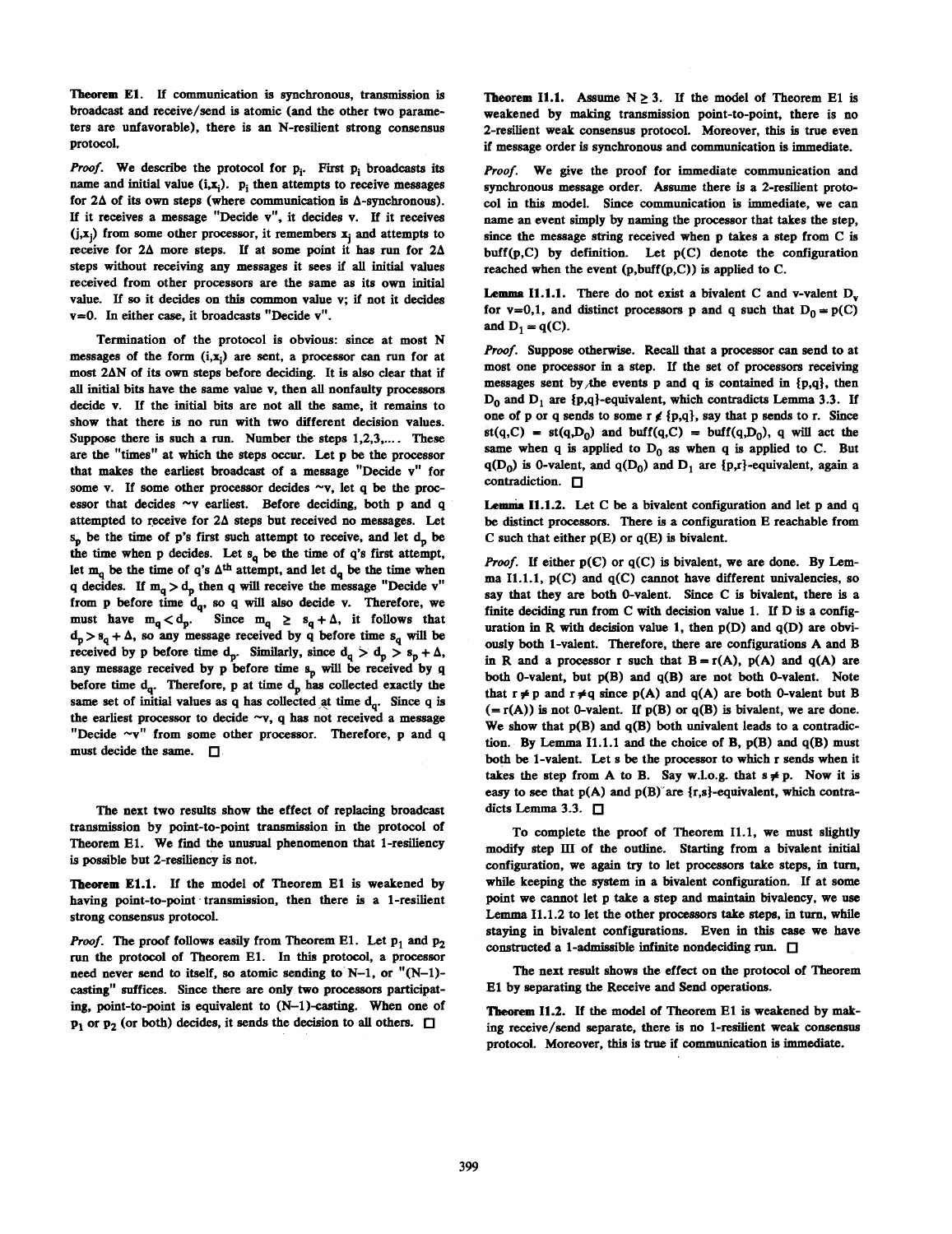Theorem E1. If communication is synchronous, transmission is broadcast and receive/send is atomic (and the other two parameters are unfavorable), there is an N-resilient strong consensus protocol,

*Proof.* We describe the protocol for  $p_i$ . First  $p_i$  broadcasts its name and initial value  $(i, x<sub>i</sub>)$ .  $p<sub>i</sub>$  then attempts to receive messages for  $2\Delta$  of its own steps (where communication is  $\Delta$ -synchronous). If it receives a message "Decide v", it decides v. If it receives  $(j, x_i)$  from some other processor, it remembers  $x_i$  and attempts to receive for  $2\Delta$  more steps. If at some point it has run for  $2\Delta$ steps without receiving any messages it sees if all initial values received from other processors are the same as its own initial value. If so it decides on this common value v; if not it decides  $v=0$ . In either case, it broadcasts "Decide  $v$ ".

Termination of the protocol is obvious: since at most N messages of the form  $(i, x<sub>i</sub>)$  are sent, a processor can run for at most  $2\Delta N$  of its own steps before deciding. It is also clear that if all initial bits have the same value v, then all nonfaulty processors decide v. If the initial bits are not all the same, it remains to show that there is no run with two different decision values. Suppose there is such a run. Number the steps  $1,2,3,...$ . These are the "times" at which the steps occur. Let p be the processor that makes the earliest broadcast of a message "Decide v" for some v. If some other processor decides  $\neg v$ , let q be the processor that decides  $\sim$ v earliest. Before deciding, both p and q attempted to receive for  $2\Delta$  steps but received no messages. Let  $s_p$  be the time of p's first such attempt to receive, and let  $d_p$  be the time when p decides. Let  $s_q$  be the time of q's first attempt, let  $m_q$  be the time of q's  $\Delta^{th}$  attempt, and let  $d_q$  be the time when q decides. If  $m_q > d_p$  then q will receive the message "Decide v" from p before time  $d_q$ , so q will also decide v. Therefore, we must have  $m_q < d_p$ . Since  $m_q \geq s_q + \Delta$ , it follows that  $d_p > s_q + \Delta$ , so any message received by q before time  $s_q$  will be received by p before time  $d_p$ . Similarly, since  $d_q > d_p > s_p + \Delta$ , any message received by p before time  $s_p$  will be received by q before time  $d_q$ . Therefore, p at time  $d_p$  has collected exactly the same set of initial values as q has collected at time  $d_q$ . Since q is the earliest processor to decide  $\sim$ v, q has not received a message "Decide  $\sim v$ " from some other processor. Therefore, p and q must decide the same.  $\Box$ 

The next two results show the effect of replacing broadcast transmission by point-to-point transmission in the protocol of Theorem E1. We find the unusual phenomenon that 1-resiliency is possible but 2-resiliency is not.

Theorem El.l. If the model of Theorem EI is weakened by having point-to-point· transmission, then there is a I-resilient strong consensus protocol.

*Proof.* The proof follows easily from Theorem E1. Let  $p_1$  and  $p_2$ run the protocol of Theorem EI. In this protocol, a processor need never send to itself, so atomic sending to  $N-1$ , or  $"(N-1)$ casting" suffices. Since there are only two processors participating, point-to-point is equivalent to (N-I)-casting. When one of  $p_1$  or  $p_2$  (or both) decides, it sends the decision to all others.  $\Box$ 

**Theorem 11.1.** Assume  $N \geq 3$ . If the model of Theorem E1 is weakened by making transmission point-to-point, there is no 2-resilient weak consensus protocol. Moreover, this is true even if message order is synchronous and communication is immediate.

*Proof.* We give the proof for immediate communication and synchronous message order. Assume there is a 2-resilient protocol in this model. Since communication is immediate, we can name an event simply by naming the processor that takes the step, since the message string received when p takes a step from C is buff $(p, C)$  by definition. Let  $p(C)$  denote the configuration reached when the event  $(p, \text{buff}(p, C))$  is applied to C.

**Lemma I1.1.1.** There do not exist a bivalent C and v-valent  $D_v$ for v=0,1, and distinct processors p and q such that  $D_0 = p(C)$ and  $D_1 = q(C)$ .

*Proof.* Suppose otherwise. Recall that a processor can send to at most one processor in a step. H the set of processors receiving messages sent by the events p and q is contained in  ${p,q}$ , then  $D_0$  and  $D_1$  are {p,q}-equivalent, which contradicts Lemma 3.3. If one of p or q sends to some  $r \notin \{p,q\}$ , say that p sends to r. Since  $st(q, C) = st(q, D_0)$  and buff $(q, C) = but f(q, D_0)$ , q will act the same when q is applied to  $D_0$  as when q is applied to C. But  $q(D_0)$  is 0-valent, and  $q(D_0)$  and  $D_1$  are {p,r}-equivalent, again a contradiction.  $\square$ 

Lemma I1.1.2. Let  $C$  be a bivalent configuration and let  $p$  and  $q$ be distinct processors. There is a configuration E reachable from C such that either  $p(E)$  or  $q(E)$  is bivalent.

*Proof.* If either  $p(C)$  or  $q(C)$  is bivalent, we are done. By Lemma  $I1.1.1$ ,  $p(C)$  and  $q(C)$  cannot have different univalencies, so say that they are both O-valent. Since C is bivalent, there is a finite deciding run from C with decision value I. H D is a configuration in R with decision value 1, then  $p(D)$  and  $q(D)$  are obviously both I-valent. Therefore, there are configurations A and B in R and a processor r such that  $B = r(A)$ ,  $p(A)$  and  $q(A)$  are both 0-valent, but  $p(B)$  and  $q(B)$  are not both 0-valent. Note that  $r \neq p$  and  $r \neq q$  since  $p(A)$  and  $q(A)$  are both 0-valent but B  $(= r(A))$  is not 0-valent. If  $p(B)$  or  $q(B)$  is bivalent, we are done. We show that  $p(B)$  and  $q(B)$  both univalent leads to a contradiction. By Lemma  $11.1.1$  and the choice of B,  $p(B)$  and  $q(B)$  must both be I-valent. Let s be the processor to which r sends when it takes the step from A to B. Say w.l.o.g. that  $s \neq p$ . Now it is easy to see that  $p(A)$  and  $p(B)$  are  $\{r,s\}$ -equivalent, which contradicts Lemma 3.3.  $\Box$ 

To complete the proof of Theorem 11.1, we must slightly modify step III of the outline. Starting from a bivalent initial configuration, we again try to let processors take steps, in tum, while keeping the system in a bivalent configuration. If at some point we cannot let p take a step and maintain bivalency, we use Lemma 11.1.2 to let the other processors take steps, in tum, while staying in bivalent configurations. Even in this case we have constructed a 1-admissible infinite nondeciding run.  $\Box$ 

The next result shows the effect on the protocol of Theorem E1 by separating the Receive and Send operations.

Theorem 11.2. If the model of Theorem E1 is weakened by making receive/send separate, there is no I-resilient weak consensus protocol. Moreover, this is true if communication is immediate.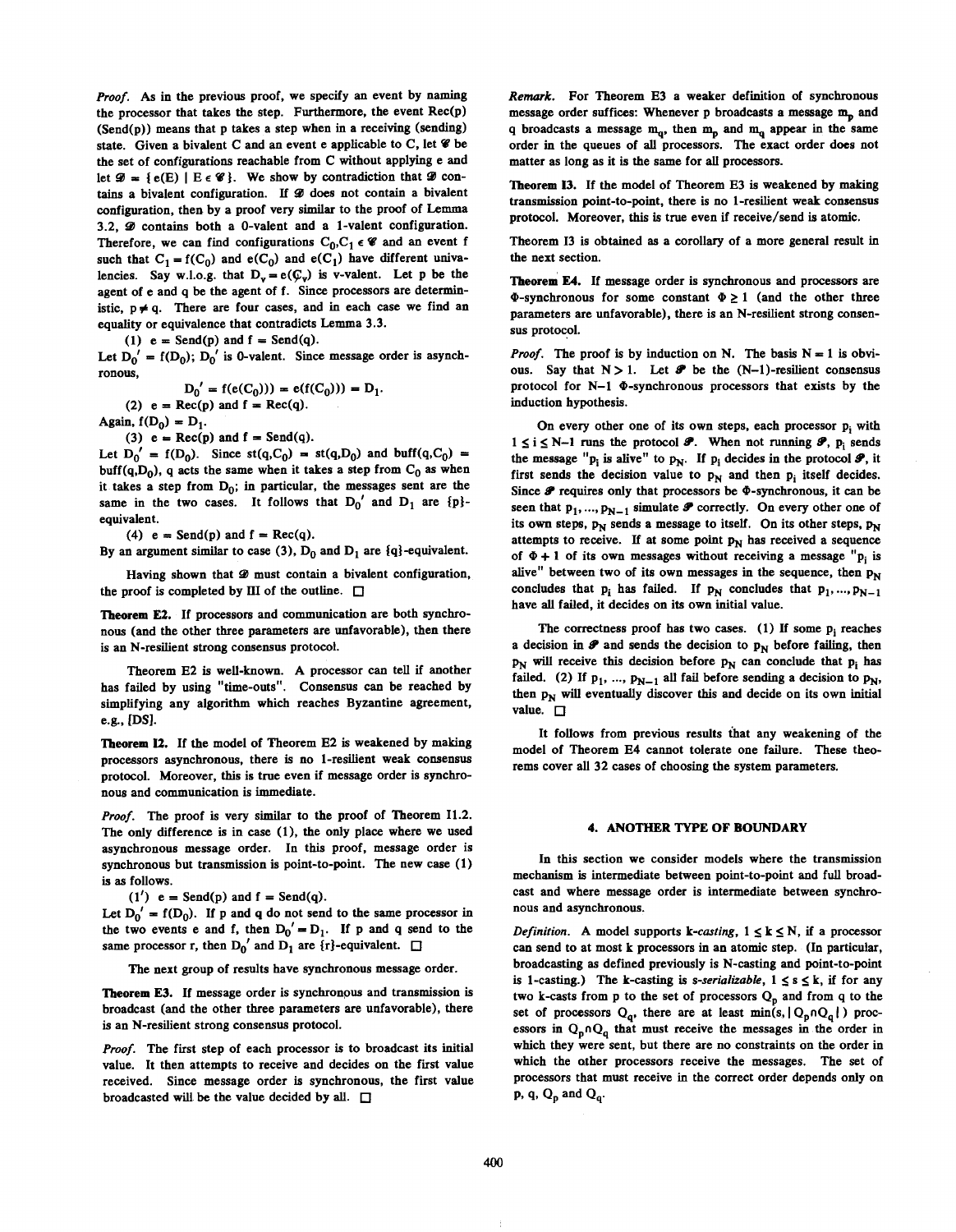*Proof.* As in the previous proof, we specify an event by naming the processor that takes the step. Furthermore, the event Rec(p)  $(Send(p))$  means that p takes a step when in a receiving (sending) state. Given a bivalent C and an event e applicable to C, let  $\mathscr C$  be the set of configurations reachable from C without applying e and let  $\mathcal{D} = \{e(E) | E \in \mathcal{C}\}\$ . We show by contradiction that  $\mathcal{D}$  contains a bivalent configuration. If  $\mathcal D$  does not contain a bivalent configuration, then by a proof very similar to the proof of Lemma 3.2,  $\mathcal D$  contains both a 0-valent and a 1-valent configuration. Therefore, we can find configurations  $C_0, C_1 \in \mathscr{C}$  and an event f such that  $C_1 = f(C_0)$  and  $e(C_0)$  and  $e(C_1)$  have different univalencies. Say w.l.o.g. that  $D_v = e(C_v)$  is v-valent. Let p be the agent of e and q be the agent of f. Since processors are deterministic,  $p \neq q$ . There are four cases, and in each case we find an equality or equivalence that contradicts Lemma 3.3.

(1)  $e = Send(p)$  and  $f = Send(q)$ .

Let  $D_0' = f(D_0)$ ;  $D_0'$  is 0-valent. Since message order is asynchronous,

$$
D_0' = f(e(C_0))) = e(f(C_0))) = D_1.
$$
  
(2)  $e = Rec(p)$  and  $f = Rec(q)$ .

Again,  $f(D_0) = D_1$ .

(3)  $e = Rec(p)$  and  $f = Send(q)$ .

Let  $D_0' = f(D_0)$ . Since  $st(q, C_0) = st(q, D_0)$  and buff $(q, C_0) =$ buff(q,D<sub>0</sub>), q acts the same when it takes a step from  $C_0$  as when it takes a step from  $D_0$ ; in particular, the messages sent are the same in the two cases. It follows that  $D_0'$  and  $D_1$  are {p}equivalent.

(4)  $e = \text{Send}(p)$  and  $f = \text{Rec}(q)$ .

By an argument similar to case (3),  $D_0$  and  $D_1$  are {q}-equivalent.

Having shown that  $\mathcal D$  must contain a bivalent configuration, the proof is completed by III of the outline.  $\square$ 

Theorem E2. If processors and communication are both synchronous (and the other three parameters are unfavorable), then there is an N-resilient strong consensus protocol.

Theorem E2 is well-known. A processor can tell if another has failed by using "time-outs". Consensus can be reached by simplifying any algorithm which reaches Byzantine agreement, e.g., [DS].

Theorem 12. If the model of Theorem E2 is weakened by making processors asynchronous, there is no I-resilient weak consensus protocol. Moreover, this is true even if message order is synchronous and communication is immediate.

*Proof.* The proof is very similar to the proof of Theorem 11.2. The only difference is in case (1), the only place where we used asynchronous message order. In this proof, message order is synchronous but transmission is point-to-point. The new case (1) is as follows.

 $(1')$  e = Send(p) and f = Send(q).

Let  $D_0' = f(D_0)$ . If p and q do not send to the same processor in the two events e and f, then  $D_0' = D_1$ . If p and q send to the same processor r, then  $D_0'$  and  $D_1$  are {r}-equivalent.  $\square$ 

The next group of results have synchronous message order.

Theorem E3. If message order is synchronous and transmission is broadcast (and the other three parameters are unfavorable), there is an N-resilient strong consensus protocol.

*Proof.* The first step of each processor is to broadcast its initial value. It then attempts to receive and decides on the first value received. Since message order is synchronous, the first value broadcasted will be the value decided by all.  $\square$ 

*Remark.* For Theorem E3 a weaker definition of synchronous message order suffices: Whenever p broadcasts a message  $m_n$  and q broadcasts a message  $m_q$ , then  $m_p$  and  $m_q$  appear in the same order in the queues of all processors. The exact order does not matter as long as it is the same for all processors.

Theorem 13. If the model of Theorem E3 is weakened by making transmission point-to-point, there is no I-resilient weak consensus protocol. Moreover, this is true even if receive/send is atomic.

Theorem 13 is obtained as a corollary of a more general result in the next section.

Theorem E4. If message order is synchronous and processors are  $\Phi$ -synchronous for some constant  $\Phi \ge 1$  (and the other three parameters are unfavorable), there is an N-resilient strong consensus protocol.

*Proof.* The proof is by induction on N. The basis  $N = 1$  is obvious. Say that  $N > 1$ . Let  $\mathcal P$  be the (N-1)-resilient consensus protocol for  $N-1$   $\Phi$ -synchronous processors that exists by the induction hypothesis.

On every other one of its own steps, each processor  $p_i$  with  $1 \le i \le N-1$  runs the protocol  $\mathcal{P}$ . When not running  $\mathcal{P}$ ,  $p_i$  sends the message " $p_i$  is alive" to  $p_N$ . If  $p_i$  decides in the protocol  $\mathcal{P}$ , it first sends the decision value to  $p_N$  and then  $p_i$  itself decides. Since  $\mathcal F$  requires only that processors be  $\Phi$ -synchronous, it can be seen that  $p_1$ , ...,  $p_{N-1}$  simulate  $\mathcal F$  correctly. On every other one of its own steps,  $p_N$  sends a message to itself. On its other steps,  $p_N$ attempts to receive. If at some point  $p_N$  has received a sequence of  $\Phi + 1$  of its own messages without receiving a message " $p_i$  is alive" between two of its own messages in the sequence, then  $p_N$ concludes that  $p_i$  has failed. If  $p_N$  concludes that  $p_1$ , ...,  $p_{N-1}$ have all failed, it decides on its own initial value.

The correctness proof has two cases.  $(1)$  If some p<sub>i</sub> reaches a decision in  $\mathcal P$  and sends the decision to  $p_N$  before failing, then  $p_N$  will receive this decision before  $p_N$  can conclude that  $p_i$  has failed. (2) If  $p_1$ , ...,  $p_{N-1}$  all fail before sending a decision to  $p_N$ , then  $p_N$  will eventually discover this and decide on its own initial value.  $\Box$ 

It follows from previous results ihat any weakening of the model of Theorem E4 cannot tolerate one failure. These theorems cover all 32 cases of choosing the system parameters.

## 4. ANOTHER TYPE OF BOUNDARY

In this section we consider models where the transmission mechanism is intermediate between point-to-point and full broadcast and where message order is intermediate between synchronous and asynchronous.

*Definition.* A model supports *k*-casting,  $1 \leq k \leq N$ , if a processor can send to at most k processors in an atomic step. (In particular, broadcasting as defined previously is N-casting and point-to-point is 1-casting.) The k-casting is *s-serializable*,  $1 \le s \le k$ , if for any two k-casts from p to the set of processors  $Q_p$  and from q to the set of processors  $Q_q$ , there are at least min(s,  $|Q_p \cap Q_q|$ ) processors in  $Q_p \cap Q_q$  that must receive the messages in the order in which they were sent, but there are no constraints on the order in which the ather processors receive the messages. The set of processors that must receive in the correct order depends only on p, q,  $Q_p$  and  $Q_q$ .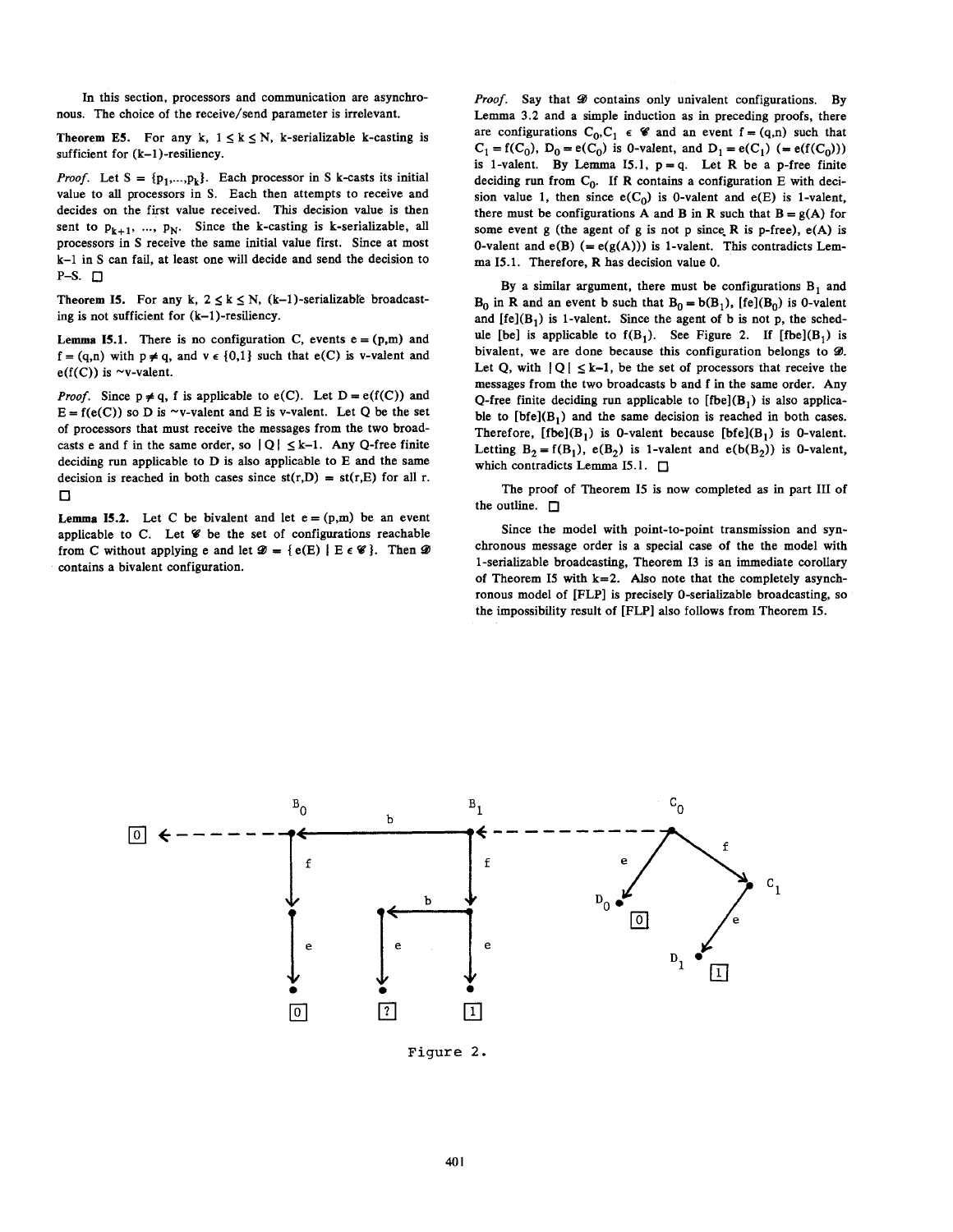In this section, processors and communication are asynchronous. The choice of the receive/send parameter is irrelevant.

Theorem E5. For any k,  $1 \le k \le N$ , k-serializable k-casting is sufficient for (k-1)-resiliency.

*Proof.* Let  $S = \{p_1,...,p_k\}$ . Each processor in S k-casts its initial value to all processors in S. Each then attempts to receive and decides on the first value received. This decision value is then sent to  $p_{k+1}$ , ...,  $p_N$ . Since the k-casting is k-serializable, all processors in S receive the same initial value first. Since at most k-1 in S can fail, at least one will decide and send the decision to  $P-S.$   $\Box$ 

Theorem 15. For any k,  $2 \le k \le N$ , (k-1)-serializable broadcasting is not sufficient for (k-1)-resiliency.

Lemma I5.1. There is no configuration C, events  $e = (p,m)$  and  $f = (q,n)$  with  $p \neq q$ , and  $v \in \{0,1\}$  such that  $e(C)$  is v-valent and  $e(f(C))$  is ~v-valent.

*Proof.* Since  $p \neq q$ , f is applicable to  $e(C)$ . Let  $D = e(f(C))$  and  $E = f(e(C))$  so D is ~v-valent and E is v-valent. Let Q be the set of processors that must receive the messages from the two broadcasts e and f in the same order, so  $|Q| \le k-1$ . Any Q-free finite deciding run applicable to D is also applicable to E and the same decision is reached in both cases since  $st(r,D) = st(r,E)$  for all r. o

Lemma 15.2. Let C be bivalent and let  $e = (p,m)$  be an event applicable to C. Let  $\mathscr G$  be the set of configurations reachable from C without applying e and let  $\mathcal{D} = \{e(E) | E \in \mathcal{C}\}\$ . Then  $\mathcal D$ . contains a bivalent configuration.

Proof. Say that  $\mathcal D$  contains only univalent configurations. By Lemma 3.2 and a simple induction as in preceding proofs, there are configurations  $C_0, C_1 \in \mathscr{C}$  and an event  $f = (q,n)$  such that  $C_1 = f(C_0)$ ,  $D_0 = e(C_0)$  is 0-valent, and  $D_1 = e(C_1)$  (=  $e(f(C_0))$ ) is 1-valent. By Lemma 15.1,  $p = q$ . Let R be a p-free finite deciding run from  $C_0$ . If R contains a configuration E with decision value 1, then since  $e(C_0)$  is 0-valent and  $e(E)$  is 1-valent, there must be configurations A and B in R such that  $B = g(A)$  for some event g (the agent of g is not p since  $R$  is p-free),  $e(A)$  is O-valent and  $e(B) (= e(g(A)))$  is 1-valent. This contradicts Lemma 15.1. Therefore, R has decision value 0.

By a similar argument, there must be configurations  $B_1$  and  $B_0$  in R and an event b such that  $B_0 = b(B_1)$ , [fe]( $B_0$ ) is 0-valent and  $[fe](B_1)$  is 1-valent. Since the agent of b is not p, the schedule [be] is applicable to  $f(B_1)$ . See Figure 2. If  $[fbe](B_1)$  is bivalent, we are done because this configuration belongs to  $\mathcal{D}$ . Let Q, with  $|Q| \leq k-1$ , be the set of processors that receive the messages from the two broadcasts band f in the same order. Any Q-free finite deciding run applicable to  $[$ fbe $]$ ( $B_1$ ) is also applicable to  $[bf(B<sub>1</sub>)$  and the same decision is reached in both cases. Therefore,  $[fbe](B_1)$  is 0-valent because  $[bfe](B_1)$  is 0-valent. Letting  $B_2 = f(B_1)$ ,  $e(B_2)$  is 1-valent and  $e(b(B_2))$  is 0-valent, which contradicts Lemma I5.1.  $\Box$ 

The proof of Theorem IS is now completed as in part III of the outline.  $\square$ 

Since the model with point-to-point transmission and synchronous message order is a special case of the the model with 1-serializable broadcasting, Theorem 13 is an immediate corollary of Theorem I5 with  $k=2$ . Also note that the completely asynchronous model of [FLP] is precisely O-serializable broadcasting, so the impossibility result of [FLP] also follows from Theorem IS.